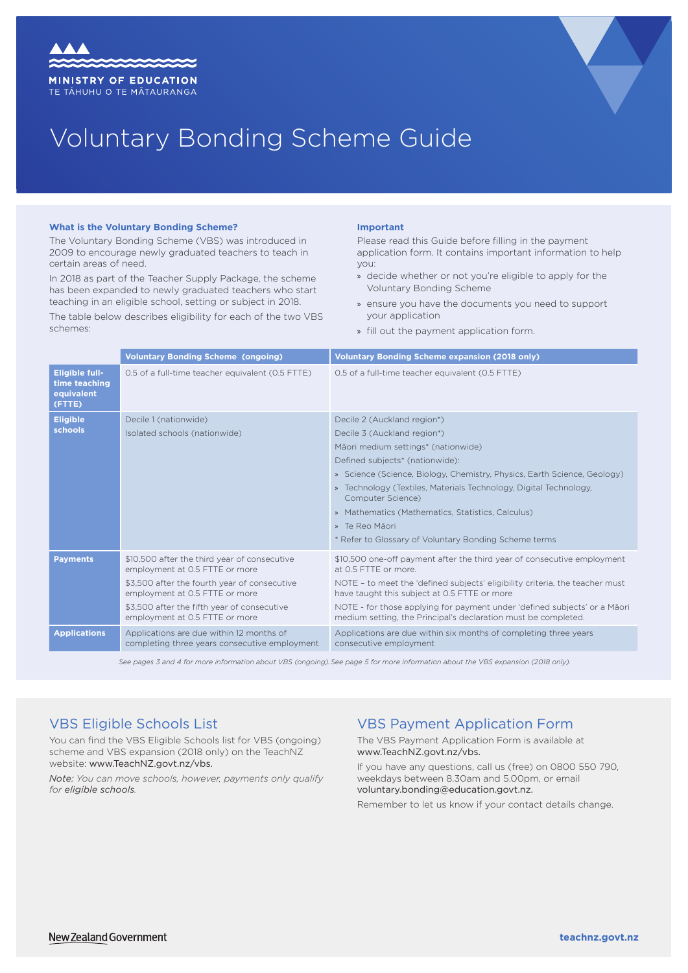



# Voluntary Bonding Scheme Guide

### **What is the Voluntary Bonding Scheme?**

The Voluntary Bonding Scheme (VBS) was introduced in 2009 to encourage newly graduated teachers to teach in certain areas of need.

In 2018 as part of the Teacher Supply Package, the scheme has been expanded to newly graduated teachers who start teaching in an eligible school, setting or subject in 2018.

The table below describes eligibility for each of the two VBS schemes:

#### **Important**

Please read this Guide before filling in the payment application form. It contains important information to help you:

- » decide whether or not you're eligible to apply for the Voluntary Bonding Scheme
- » ensure you have the documents you need to support your application
- » fill out the payment application form.

|                                                                | <b>Voluntary Bonding Scheme (ongoing)</b>                                                                                                                                                                                                         | <b>Voluntary Bonding Scheme expansion (2018 only)</b>                                                                                                                                                                                                                                                                                                                                                                                    |
|----------------------------------------------------------------|---------------------------------------------------------------------------------------------------------------------------------------------------------------------------------------------------------------------------------------------------|------------------------------------------------------------------------------------------------------------------------------------------------------------------------------------------------------------------------------------------------------------------------------------------------------------------------------------------------------------------------------------------------------------------------------------------|
| <b>Eligible full-</b><br>time teaching<br>equivalent<br>(FTTE) | 0.5 of a full-time teacher equivalent (0.5 FTTE)                                                                                                                                                                                                  | 0.5 of a full-time teacher equivalent (0.5 FTTE)                                                                                                                                                                                                                                                                                                                                                                                         |
| <b>Eligible</b><br>schools                                     | Decile 1 (nationwide)<br>Isolated schools (nationwide)                                                                                                                                                                                            | Decile 2 (Auckland region*)<br>Decile 3 (Auckland region*)<br>Māori medium settings* (nationwide)<br>Defined subjects* (nationwide):<br>» Science (Science, Biology, Chemistry, Physics, Earth Science, Geology)<br>Technology (Textiles, Materials Technology, Digital Technology,<br>Computer Science)<br>» Mathematics (Mathematics, Statistics, Calculus)<br>» Te Reo Māori<br>* Refer to Glossary of Voluntary Bonding Scheme terms |
| <b>Payments</b>                                                | \$10,500 after the third year of consecutive<br>employment at 0.5 FTTE or more<br>\$3.500 after the fourth year of consecutive<br>employment at 0.5 FTTE or more<br>\$3,500 after the fifth year of consecutive<br>employment at 0.5 FTTE or more | \$10,500 one-off payment after the third year of consecutive employment<br>at 0.5 FTTF or more.<br>NOTE - to meet the 'defined subjects' eligibility criteria, the teacher must<br>have taught this subject at 0.5 FTTE or more<br>NOTE - for those applying for payment under 'defined subjects' or a Mãori<br>medium setting, the Principal's declaration must be completed.                                                           |
| <b>Applications</b>                                            | Applications are due within 12 months of<br>completing three years consecutive employment                                                                                                                                                         | Applications are due within six months of completing three years<br>consecutive employment                                                                                                                                                                                                                                                                                                                                               |

*See pages 3 and 4 for more information about VBS (ongoing).See page 5 for more information about the VBS expansion (2018 only).*

### VBS Eligible Schools List

You can find the VBS Eligible Schools list for VBS (ongoing) scheme and VBS expansion (2018 only) on the TeachNZ website: [www.TeachNZ.govt.nz/vbs](http://www.TeachNZ.govt.nz/vbs).

*Note: You can move schools, however, payments only qualify for eligible schools.* 

### VBS Payment Application Form

The VBS Payment Application Form is available at [www.TeachNZ.govt.nz/vbs.](http://www.TeachNZ.govt.nz/vbs)

If you have any questions, call us (free) on 0800 550 790, weekdays between 8.30am and 5.00pm, or email [voluntary.bonding@education.govt.nz.](mailto:www.TeachNZ.govt.nz/vbs?subject=)

Remember to let us know if your contact details change.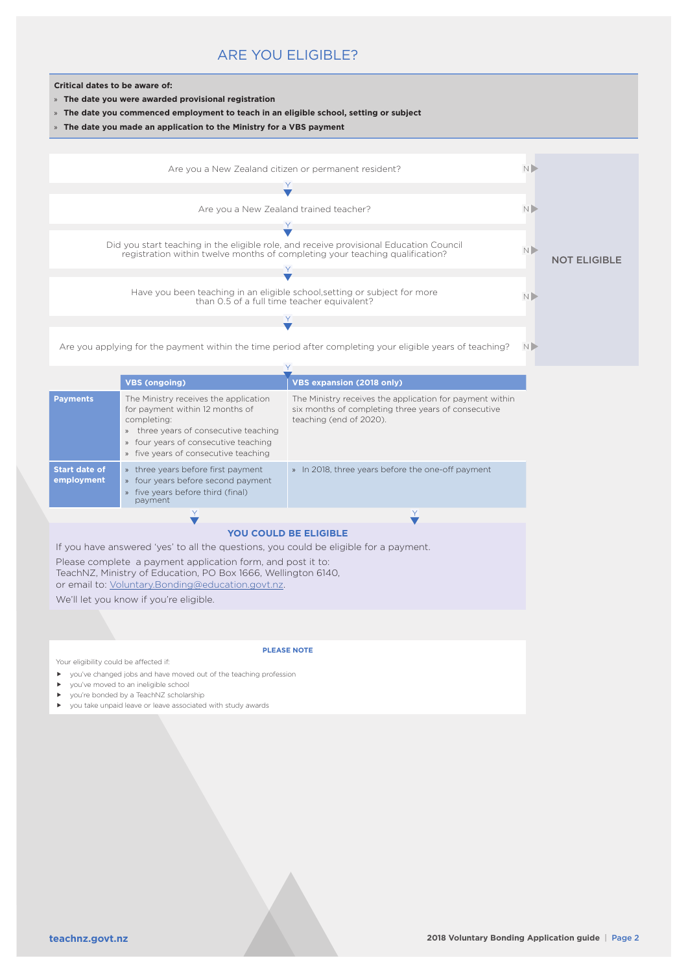### ARE YOU ELIGIBLE?



- » **The date you were awarded provisional registration**
- » **The date you commenced employment to teach in an eligible school, setting or subject**
- » **The date you made an application to the Ministry for a VBS payment**



|                                                                                                                       | <b>VBS (ongoing)</b>                                                                                                                                                                                                                                          | <b>VBS expansion (2018 only)</b>                                                                                                           |  |  |  |  |
|-----------------------------------------------------------------------------------------------------------------------|---------------------------------------------------------------------------------------------------------------------------------------------------------------------------------------------------------------------------------------------------------------|--------------------------------------------------------------------------------------------------------------------------------------------|--|--|--|--|
| <b>Payments</b>                                                                                                       | The Ministry receives the application<br>for payment within 12 months of<br>completing:<br>three years of consecutive teaching<br>$\mathcal{V}$<br>four years of consecutive teaching<br>$\mathcal{V}$<br>five years of consecutive teaching<br>$\mathcal{V}$ | The Ministry receives the application for payment within<br>six months of completing three years of consecutive<br>teaching (end of 2020). |  |  |  |  |
| <b>Start date of</b><br>employment                                                                                    | three years before first payment<br>$\mathcal{V}$<br>four years before second payment<br>$\mathcal{V}$<br>five years before third (final)<br>$\mathcal{D}$<br>payment                                                                                         | » In 2018, three years before the one-off payment                                                                                          |  |  |  |  |
|                                                                                                                       |                                                                                                                                                                                                                                                               |                                                                                                                                            |  |  |  |  |
| <b>YOU COULD BE ELIGIBLE</b><br>If you have answered 'yes' to all the questions, you could be eligible for a payment. |                                                                                                                                                                                                                                                               |                                                                                                                                            |  |  |  |  |

Please complete a payment application form, and post it to: TeachNZ, Ministry of Education, PO Box 1666, Wellington 6140, or email to: [Voluntary.Bonding@education.govt.nz](mailto:Voluntary.Bonding%40education.govt.nz?subject=).

We'll let you know if you're eligible.

**PLEASE NOTE**

Your eligibility could be affected if:

- you've changed jobs and have moved out of the teaching profession
- you've moved to an ineligible school
- ▶ you're bonded by a TeachNZ scholarship
- you take unpaid leave or leave associated with study awards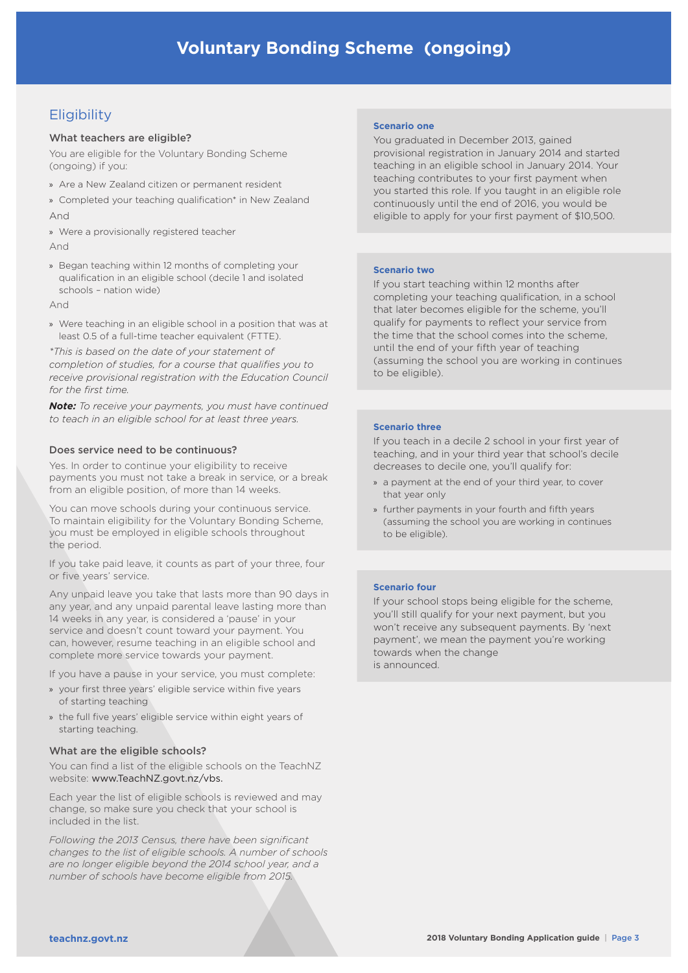## **Eligibility**

### What teachers are eligible?

You are eligible for the Voluntary Bonding Scheme (ongoing) if you:

- » Are a New Zealand citizen or permanent resident
- » Completed your teaching qualification\* in New Zealand And
- » Were a provisionally registered teacher

### And

» Began teaching within 12 months of completing your qualification in an eligible school (decile 1 and isolated schools – nation wide)

And

» Were teaching in an eligible school in a position that was at least 0.5 of a full-time teacher equivalent (FTTE).

*\*This is based on the date of your statement of completion of studies, for a course that qualifies you to receive provisional registration with the Education Council for the first time.* 

*Note: To receive your payments, you must have continued to teach in an eligible school for at least three years.*

### Does service need to be continuous?

Yes. In order to continue your eligibility to receive payments you must not take a break in service, or a break from an eligible position, of more than 14 weeks.

You can move schools during your continuous service. To maintain eligibility for the Voluntary Bonding Scheme, you must be employed in eligible schools throughout the period.

If you take paid leave, it counts as part of your three, four or five years' service.

Any unpaid leave you take that lasts more than 90 days in any year, and any unpaid parental leave lasting more than 14 weeks in any year, is considered a 'pause' in your service and doesn't count toward your payment. You can, however, resume teaching in an eligible school and complete more service towards your payment.

If you have a pause in your service, you must complete:

- » your first three years' eligible service within five years of starting teaching
- » the full five years' eligible service within eight years of starting teaching.

### What are the eligible schools?

You can find a list of the eligible schools on the TeachNZ website: [www.TeachNZ.govt.nz/vbs.](http://www.TeachNZ.govt.nz/vbs)

Each year the list of eligible schools is reviewed and may change, so make sure you check that your school is included in the list.

*Following the 2013 Census, there have been significant changes to the list of eligible schools. A number of schools are no longer eligible beyond the 2014 school year, and a number of schools have become eligible from 2015.*

### **Scenario one**

You graduated in December 2013, gained provisional registration in January 2014 and started teaching in an eligible school in January 2014. Your teaching contributes to your first payment when you started this role. If you taught in an eligible role continuously until the end of 2016, you would be eligible to apply for your first payment of \$10,500.

### **Scenario two**

If you start teaching within 12 months after completing your teaching qualification, in a school that later becomes eligible for the scheme, you'll qualify for payments to reflect your service from the time that the school comes into the scheme, until the end of your fifth year of teaching (assuming the school you are working in continues to be eligible).

### **Scenario three**

If you teach in a decile 2 school in your first year of teaching, and in your third year that school's decile decreases to decile one, you'll qualify for:

- » a payment at the end of your third year, to cover that year only
- » further payments in your fourth and fifth years (assuming the school you are working in continues to be eligible).

### **Scenario four**

If your school stops being eligible for the scheme, you'll still qualify for your next payment, but you won't receive any subsequent payments. By 'next payment', we mean the payment you're working towards when the change is announced.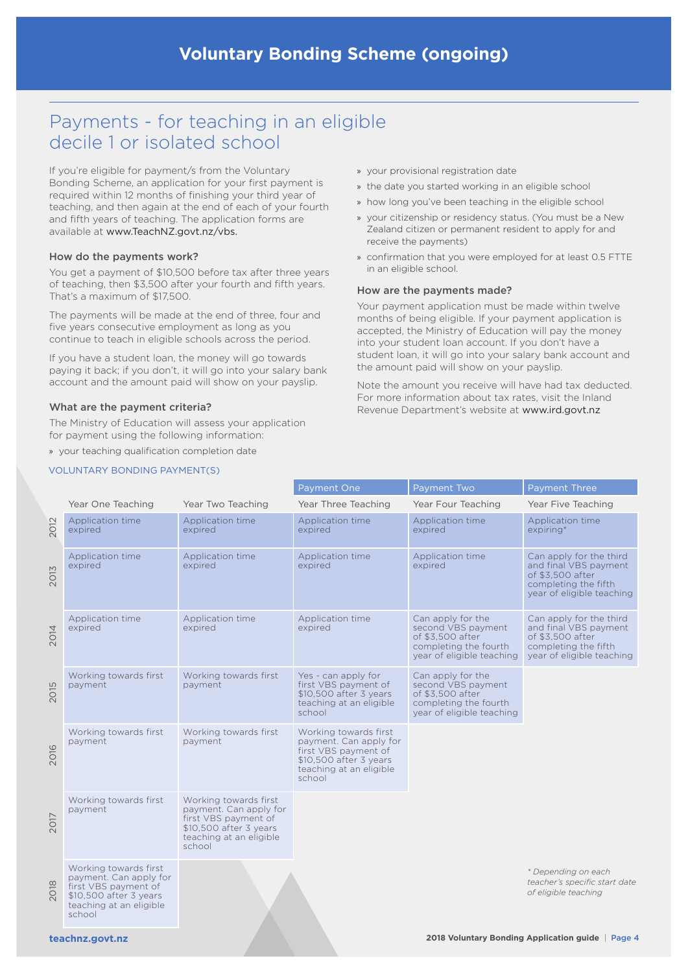# Payments - for teaching in an eligible decile 1 or isolated school

If you're eligible for payment/s from the Voluntary Bonding Scheme, an application for your first payment is required within 12 months of finishing your third year of teaching, and then again at the end of each of your fourth and fifth years of teaching. The application forms are available at [www.TeachNZ.govt.nz/vbs.](http://www.TeachNZ.govt.nz/vbs)

### How do the payments work?

You get a payment of \$10,500 before tax after three years of teaching, then \$3,500 after your fourth and fifth years. That's a maximum of \$17,500.

The payments will be made at the end of three, four and five years consecutive employment as long as you continue to teach in eligible schools across the period.

If you have a student loan, the money will go towards paying it back; if you don't, it will go into your salary bank account and the amount paid will show on your payslip.

### What are the payment criteria?

The Ministry of Education will assess your application for payment using the following information:

» your teaching qualification completion date

### VOLUNTARY BONDING PAYMENT(S)

- » your provisional registration date
- » the date you started working in an eligible school
- » how long you've been teaching in the eligible school
- » your citizenship or residency status. (You must be a New Zealand citizen or permanent resident to apply for and receive the payments)
- » confirmation that you were employed for at least 0.5 FTTE in an eligible school.

#### How are the payments made?

Your payment application must be made within twelve months of being eligible. If your payment application is accepted, the Ministry of Education will pay the money into your student loan account. If you don't have a student loan, it will go into your salary bank account and the amount paid will show on your payslip.

Note the amount you receive will have had tax deducted. For more information about tax rates, visit the Inland Revenue Department's website at [www.ird.govt.nz](http://www.ird.govt.nz)

|      |                                                                                                                                        |                                                                                                                                        | Payment One                                                                                                                            | Payment Two                                                                                                       | <b>Payment Three</b>                                                                                                      |  |  |  |
|------|----------------------------------------------------------------------------------------------------------------------------------------|----------------------------------------------------------------------------------------------------------------------------------------|----------------------------------------------------------------------------------------------------------------------------------------|-------------------------------------------------------------------------------------------------------------------|---------------------------------------------------------------------------------------------------------------------------|--|--|--|
|      | Year One Teaching                                                                                                                      | Year Two Teaching                                                                                                                      | Year Three Teaching                                                                                                                    | Year Four Teaching                                                                                                | Year Five Teaching                                                                                                        |  |  |  |
| 2012 | Application time<br>expired                                                                                                            | Application time<br>expired                                                                                                            | Application time<br>expired                                                                                                            | Application time<br>expired                                                                                       | Application time<br>expiring*                                                                                             |  |  |  |
| 2013 | Application time<br>expired                                                                                                            | Application time<br>expired                                                                                                            | Application time<br>expired                                                                                                            | Application time<br>expired                                                                                       | Can apply for the third<br>and final VBS payment<br>of \$3,500 after<br>completing the fifth<br>year of eligible teaching |  |  |  |
| 2014 | Application time<br>expired                                                                                                            | Application time<br>expired                                                                                                            | Application time<br>expired                                                                                                            | Can apply for the<br>second VBS payment<br>of \$3.500 after<br>completing the fourth<br>year of eligible teaching | Can apply for the third<br>and final VBS payment<br>of \$3.500 after<br>completing the fifth<br>year of eligible teaching |  |  |  |
| 2015 | Working towards first<br>payment                                                                                                       | Working towards first<br>payment                                                                                                       | Yes - can apply for<br>first VBS payment of<br>\$10,500 after 3 years<br>teaching at an eligible<br>school                             | Can apply for the<br>second VBS payment<br>of \$3,500 after<br>completing the fourth<br>year of eligible teaching |                                                                                                                           |  |  |  |
| 2016 | Working towards first<br>payment                                                                                                       | Working towards first<br>payment                                                                                                       | Working towards first<br>payment. Can apply for<br>first VBS payment of<br>\$10,500 after 3 years<br>teaching at an eligible<br>school |                                                                                                                   |                                                                                                                           |  |  |  |
| 2017 | Working towards first<br>payment                                                                                                       | Working towards first<br>payment. Can apply for<br>first VBS payment of<br>\$10,500 after 3 years<br>teaching at an eligible<br>school |                                                                                                                                        |                                                                                                                   |                                                                                                                           |  |  |  |
| 2018 | Working towards first<br>payment. Can apply for<br>first VBS payment of<br>\$10,500 after 3 years<br>teaching at an eligible<br>school |                                                                                                                                        |                                                                                                                                        |                                                                                                                   | * Depending on each<br>teacher's specific start date<br>of eligible teaching                                              |  |  |  |
|      |                                                                                                                                        |                                                                                                                                        |                                                                                                                                        |                                                                                                                   |                                                                                                                           |  |  |  |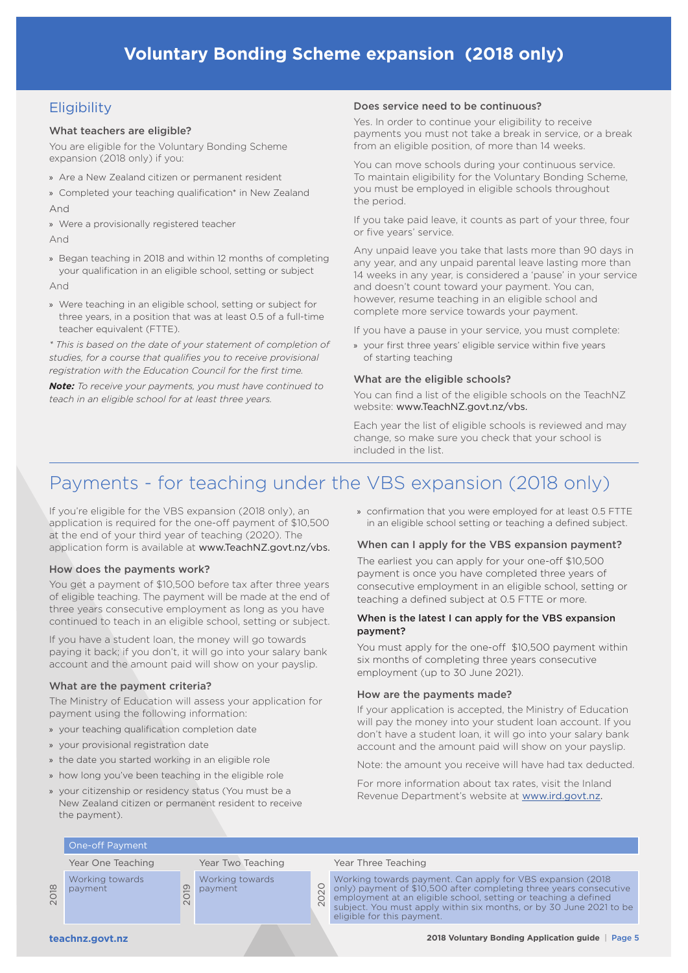### **Eligibility**

### What teachers are eligible?

You are eligible for the Voluntary Bonding Scheme expansion (2018 only) if you:

- » Are a New Zealand citizen or permanent resident
- » Completed your teaching qualification\* in New Zealand And
- » Were a provisionally registered teacher
- And
- » Began teaching in 2018 and within 12 months of completing your qualification in an eligible school, setting or subject

And

» Were teaching in an eligible school, setting or subject for three years, in a position that was at least 0.5 of a full-time teacher equivalent (FTTE).

*\* This is based on the date of your statement of completion of studies, for a course that qualifies you to receive provisional registration with the Education Council for the first time.* 

*Note: To receive your payments, you must have continued to teach in an eligible school for at least three years.*

### Does service need to be continuous?

Yes. In order to continue your eligibility to receive payments you must not take a break in service, or a break from an eligible position, of more than 14 weeks.

You can move schools during your continuous service. To maintain eligibility for the Voluntary Bonding Scheme, you must be employed in eligible schools throughout the period.

If you take paid leave, it counts as part of your three, four or five years' service.

Any unpaid leave you take that lasts more than 90 days in any year, and any unpaid parental leave lasting more than 14 weeks in any year, is considered a 'pause' in your service and doesn't count toward your payment. You can, however, resume teaching in an eligible school and complete more service towards your payment.

If you have a pause in your service, you must complete:

» your first three years' eligible service within five years of starting teaching

### What are the eligible schools?

You can find a list of the eligible schools on the TeachNZ website: [www.TeachNZ.govt.nz/vbs.](http://www.TeachNZ.govt.nz/vbs)

Each year the list of eligible schools is reviewed and may change, so make sure you check that your school is included in the list.

# Payments - for teaching under the VBS expansion (2018 only)

If you're eligible for the VBS expansion (2018 only), an application is required for the one-off payment of \$10,500 at the end of your third year of teaching (2020). The application form is available at [www.TeachNZ.govt.nz/vbs.](http://www.TeachNZ.govt.nz/vbs)

### How does the payments work?

You get a payment of \$10,500 before tax after three years of eligible teaching. The payment will be made at the end of three years consecutive employment as long as you have continued to teach in an eligible school, setting or subject.

If you have a student loan, the money will go towards paying it back; if you don't, it will go into your salary bank account and the amount paid will show on your payslip.

### What are the payment criteria?

The Ministry of Education will assess your application for payment using the following information:

- » your teaching qualification completion date
- » your provisional registration date
- » the date you started working in an eligible role
- » how long you've been teaching in the eligible role
- » your citizenship or residency status (You must be a New Zealand citizen or permanent resident to receive the payment).

» confirmation that you were employed for at least 0.5 FTTE in an eligible school setting or teaching a defined subject.

### When can I apply for the VBS expansion payment?

The earliest you can apply for your one-off \$10,500 payment is once you have completed three years of consecutive employment in an eligible school, setting or teaching a defined subject at 0.5 FTTE or more.

### When is the latest I can apply for the VBS expansion payment?

You must apply for the one-off \$10,500 payment within six months of completing three years consecutive employment (up to 30 June 2021).

### How are the payments made?

If your application is accepted, the Ministry of Education will pay the money into your student loan account. If you don't have a student loan, it will go into your salary bank account and the amount paid will show on your payslip.

Note: the amount you receive will have had tax deducted.

For more information about tax rates, visit the Inland Revenue Department's website at [www.ird.govt.nz.](http://www.ird.govt.nz)

### One-off Payment

Working towards payment

2019 Working towards payment

#### Year One Teaching Year Two Teaching Year Three Teaching

Working towards payment. Can apply for VBS expansion (2018<br>
2020 only) payment of \$10,500 after completing three years consect<br>
2020 employment at an eligible school, setting or teaching a defined<br>
2021 only) payment of \$10,500 after completing three years consecutive employment at an eligible school, setting or teaching a defined subject. You must apply within six months, or by 30 June 2021 to be eligible for this payment.

2018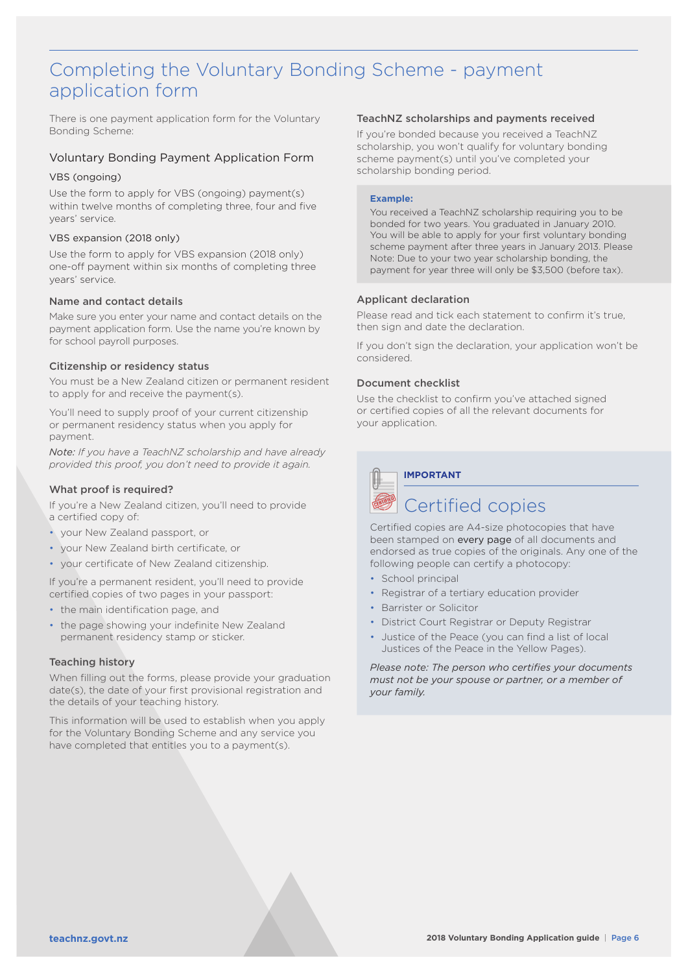# Completing the Voluntary Bonding Scheme - payment application form

There is one payment application form for the Voluntary Bonding Scheme:

### Voluntary Bonding Payment Application Form

### VBS (ongoing)

Use the form to apply for VBS (ongoing) payment(s) within twelve months of completing three, four and five years' service.

### VBS expansion (2018 only)

Use the form to apply for VBS expansion (2018 only) one-off payment within six months of completing three years' service.

### Name and contact details

Make sure you enter your name and contact details on the payment application form. Use the name you're known by for school payroll purposes.

### Citizenship or residency status

You must be a New Zealand citizen or permanent resident to apply for and receive the payment(s).

You'll need to supply proof of your current citizenship or permanent residency status when you apply for payment.

*Note: If you have a TeachNZ scholarship and have already provided this proof, you don't need to provide it again.*

### What proof is required?

If you're a New Zealand citizen, you'll need to provide a certified copy of:

- your New Zealand passport, or
- your New Zealand birth certificate, or
- your certificate of New Zealand citizenship.

If you're a permanent resident, you'll need to provide certified copies of two pages in your passport:

- the main identification page, and
- the page showing your indefinite New Zealand permanent residency stamp or sticker.

### Teaching history

When filling out the forms, please provide your graduation date(s), the date of your first provisional registration and the details of your teaching history.

This information will be used to establish when you apply for the Voluntary Bonding Scheme and any service you have completed that entitles you to a payment(s).

### TeachNZ scholarships and payments received

If you're bonded because you received a TeachNZ scholarship, you won't qualify for voluntary bonding scheme payment(s) until you've completed your scholarship bonding period.

### **Example:**

You received a TeachNZ scholarship requiring you to be bonded for two years. You graduated in January 2010. You will be able to apply for your first voluntary bonding scheme payment after three years in January 2013. Please Note: Due to your two year scholarship bonding, the payment for year three will only be \$3,500 (before tax).

### Applicant declaration

Please read and tick each statement to confirm it's true, then sign and date the declaration.

If you don't sign the declaration, your application won't be considered.

### Document checklist

Use the checklist to confirm you've attached signed or certified copies of all the relevant documents for your application.

**IMPORTANT**

# Certified copies

Certified copies are A4-size photocopies that have been stamped on every page of all documents and endorsed as true copies of the originals. Any one of the following people can certify a photocopy:

- School principal
- Registrar of a tertiary education provider
- Barrister or Solicitor
- District Court Registrar or Deputy Registrar
- Justice of the Peace (you can find a list of local Justices of the Peace in the Yellow Pages).

*Please note: The person who certifies your documents must not be your spouse or partner, or a member of your family.*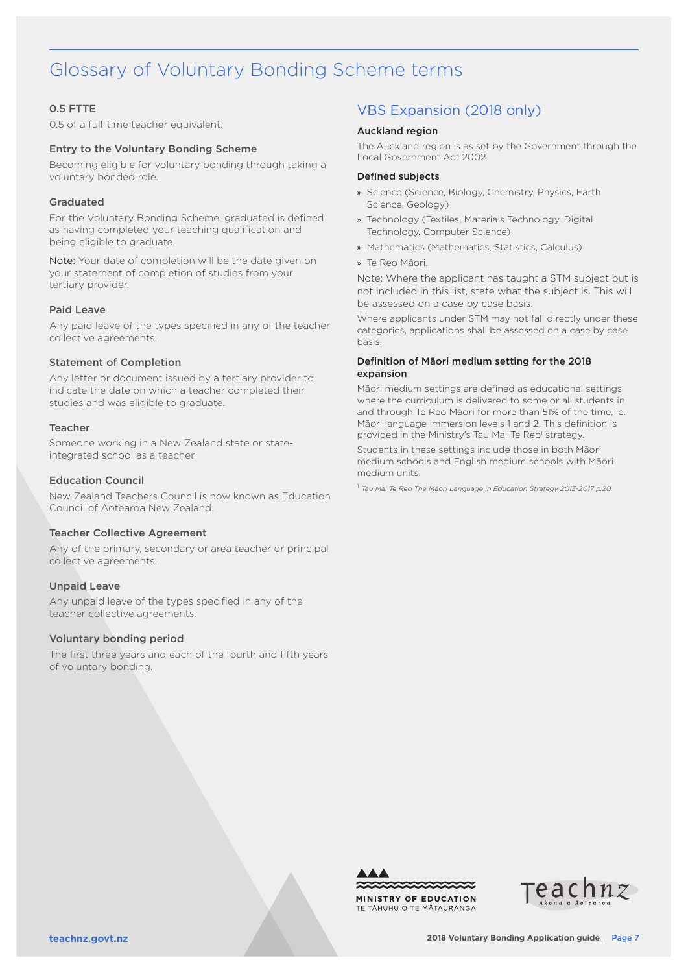# Glossary of Voluntary Bonding Scheme terms

### 0.5 FTTE

0.5 of a full-time teacher equivalent.

### Entry to the Voluntary Bonding Scheme

Becoming eligible for voluntary bonding through taking a voluntary bonded role.

### Graduated

For the Voluntary Bonding Scheme, graduated is defined as having completed your teaching qualification and being eligible to graduate.

Note: Your date of completion will be the date given on your statement of completion of studies from your tertiary provider.

### Paid Leave

Any paid leave of the types specified in any of the teacher collective agreements.

### Statement of Completion

Any letter or document issued by a tertiary provider to indicate the date on which a teacher completed their studies and was eligible to graduate.

### Teacher

Someone working in a New Zealand state or stateintegrated school as a teacher.

### Education Council

New Zealand Teachers Council is now known as Education Council of Aotearoa New Zealand.

### Teacher Collective Agreement

Any of the primary, secondary or area teacher or principal collective agreements.

### Unpaid Leave

Any unpaid leave of the types specified in any of the teacher collective agreements.

### Voluntary bonding period

The first three years and each of the fourth and fifth years of voluntary bonding.

### VBS Expansion (2018 only)

### Auckland region

The Auckland region is as set by the Government through the Local Government Act 2002.

### Defined subjects

- » Science (Science, Biology, Chemistry, Physics, Earth Science, Geology)
- » Technology (Textiles, Materials Technology, Digital Technology, Computer Science)
- » Mathematics (Mathematics, Statistics, Calculus)
- » Te Reo Māori.

Note: Where the applicant has taught a STM subject but is not included in this list, state what the subject is. This will be assessed on a case by case basis.

Where applicants under STM may not fall directly under these categories, applications shall be assessed on a case by case basis.

### Definition of Māori medium setting for the 2018 expansion

Māori medium settings are defined as educational settings where the curriculum is delivered to some or all students in and through Te Reo Māori for more than 51% of the time, ie. Māori language immersion levels 1 and 2. This definition is provided in the Ministry's Tau Mai Te Reo<sup>1</sup> strategy.

Students in these settings include those in both Māori medium schools and English medium schools with Māori medium units.

<sup>1</sup> *Tau Mai Te Reo The Māori Language in Education Strategy 2013-2017 p.20*